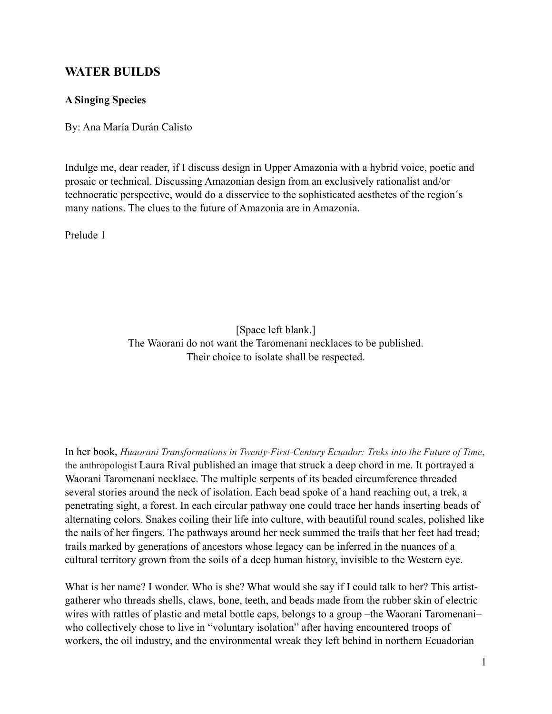# **WATER BUILDS**

## **A Singing Species**

By: Ana María Durán Calisto

Indulge me, dear reader, if I discuss design in Upper Amazonia with a hybrid voice, poetic and prosaic or technical. Discussing Amazonian design from an exclusively rationalist and/or technocratic perspective, would do a disservice to the sophisticated aesthetes of the region´s many nations. The clues to the future of Amazonia are in Amazonia.

Prelude 1

[Space left blank.] The Waorani do not want the Taromenani necklaces to be published. Their choice to isolate shall be respected.

In her book, *Huaorani Transformations in Twenty-First-Century Ecuador: Treks into the Future of Time*, the anthropologist Laura Rival published an image that struck a deep chord in me. It portrayed a Waorani Taromenani necklace. The multiple serpents of its beaded circumference threaded several stories around the neck of isolation. Each bead spoke of a hand reaching out, a trek, a penetrating sight, a forest. In each circular pathway one could trace her hands inserting beads of alternating colors. Snakes coiling their life into culture, with beautiful round scales, polished like the nails of her fingers. The pathways around her neck summed the trails that her feet had tread; trails marked by generations of ancestors whose legacy can be inferred in the nuances of a cultural territory grown from the soils of a deep human history, invisible to the Western eye.

What is her name? I wonder. Who is she? What would she say if I could talk to her? This artistgatherer who threads shells, claws, bone, teeth, and beads made from the rubber skin of electric wires with rattles of plastic and metal bottle caps, belongs to a group –the Waorani Taromenani– who collectively chose to live in "voluntary isolation" after having encountered troops of workers, the oil industry, and the environmental wreak they left behind in northern Ecuadorian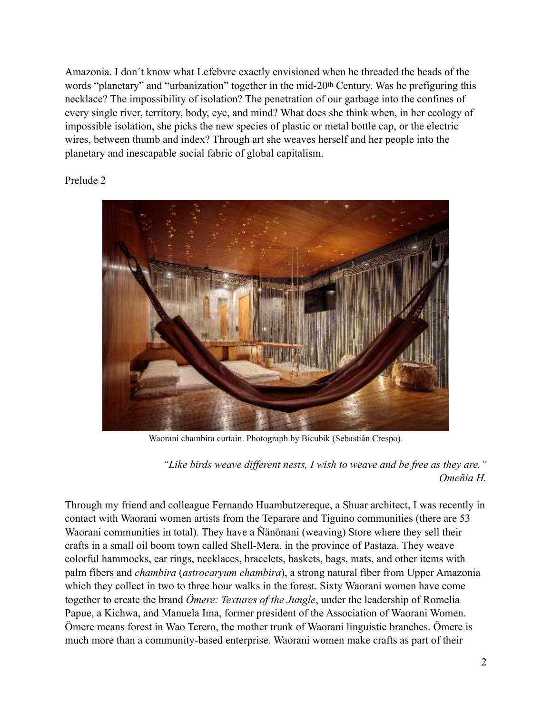Amazonia. I don´t know what Lefebvre exactly envisioned when he threaded the beads of the words "planetary" and "urbanization" together in the mid-20th Century. Was he prefiguring this necklace? The impossibility of isolation? The penetration of our garbage into the confines of every single river, territory, body, eye, and mind? What does she think when, in her ecology of impossible isolation, she picks the new species of plastic or metal bottle cap, or the electric wires, between thumb and index? Through art she weaves herself and her people into the planetary and inescapable social fabric of global capitalism.

Prelude 2



Waorani chambira curtain. Photograph by Bicubik (Sebastián Crespo).

*"Like birds weave different nests, I wish to weave and be free as they are." Omeñia H.*

Through my friend and colleague Fernando Huambutzereque, a Shuar architect, I was recently in contact with Waorani women artists from the Teparare and Tiguino communities (there are 53 Waorani communities in total). They have a Ñänönani (weaving) Store where they sell their crafts in a small oil boom town called Shell-Mera, in the province of Pastaza. They weave colorful hammocks, ear rings, necklaces, bracelets, baskets, bags, mats, and other items with palm fibers and *chambira* (*astrocaryum chambira*), a strong natural fiber from Upper Amazonia which they collect in two to three hour walks in the forest. Sixty Waorani women have come together to create the brand *Ömere: Textures of the Jungle*, under the leadership of Romelia Papue, a Kichwa, and Manuela Ima, former president of the Association of Waorani Women. Ömere means forest in Wao Terero, the mother trunk of Waorani linguistic branches. Ömere is much more than a community-based enterprise. Waorani women make crafts as part of their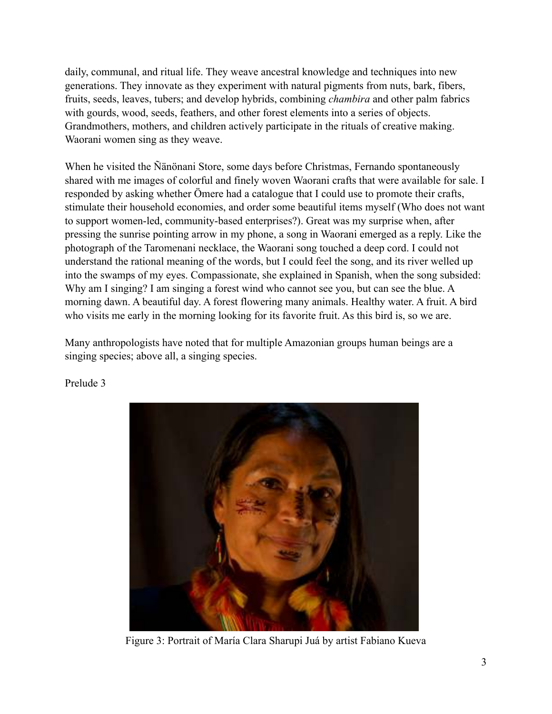daily, communal, and ritual life. They weave ancestral knowledge and techniques into new generations. They innovate as they experiment with natural pigments from nuts, bark, fibers, fruits, seeds, leaves, tubers; and develop hybrids, combining *chambira* and other palm fabrics with gourds, wood, seeds, feathers, and other forest elements into a series of objects. Grandmothers, mothers, and children actively participate in the rituals of creative making. Waorani women sing as they weave.

When he visited the Ñänönani Store, some days before Christmas, Fernando spontaneously shared with me images of colorful and finely woven Waorani crafts that were available for sale. I responded by asking whether Ömere had a catalogue that I could use to promote their crafts, stimulate their household economies, and order some beautiful items myself (Who does not want to support women-led, community-based enterprises?). Great was my surprise when, after pressing the sunrise pointing arrow in my phone, a song in Waorani emerged as a reply. Like the photograph of the Taromenani necklace, the Waorani song touched a deep cord. I could not understand the rational meaning of the words, but I could feel the song, and its river welled up into the swamps of my eyes. Compassionate, she explained in Spanish, when the song subsided: Why am I singing? I am singing a forest wind who cannot see you, but can see the blue. A morning dawn. A beautiful day. A forest flowering many animals. Healthy water. A fruit. A bird who visits me early in the morning looking for its favorite fruit. As this bird is, so we are.

Many anthropologists have noted that for multiple Amazonian groups human beings are a singing species; above all, a singing species.



Prelude 3

Figure 3: Portrait of María Clara Sharupi Juá by artist Fabiano Kueva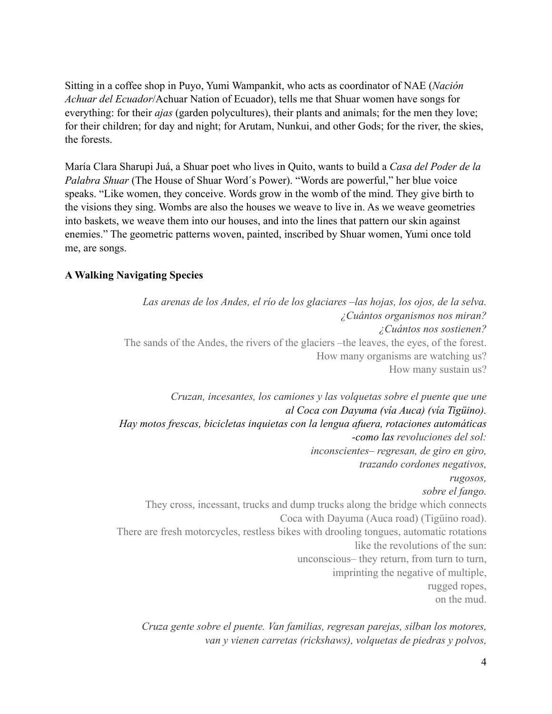Sitting in a coffee shop in Puyo, Yumi Wampankit, who acts as coordinator of NAE (*Nación Achuar del Ecuador*/Achuar Nation of Ecuador), tells me that Shuar women have songs for everything: for their *ajas* (garden polycultures), their plants and animals; for the men they love; for their children; for day and night; for Arutam, Nunkui, and other Gods; for the river, the skies, the forests.

María Clara Sharupi Juá, a Shuar poet who lives in Quito, wants to build a *Casa del Poder de la Palabra Shuar* (The House of Shuar Word´s Power). "Words are powerful," her blue voice speaks. "Like women, they conceive. Words grow in the womb of the mind. They give birth to the visions they sing. Wombs are also the houses we weave to live in. As we weave geometries into baskets, we weave them into our houses, and into the lines that pattern our skin against enemies." The geometric patterns woven, painted, inscribed by Shuar women, Yumi once told me, are songs.

# **A Walking Navigating Species**

*Las arenas de los Andes, el río de los glaciares –las hojas, los ojos, de la selva. ¿Cuántos organismos nos miran? ¿Cuántos nos sostienen?*  The sands of the Andes, the rivers of the glaciers –the leaves, the eyes, of the forest. How many organisms are watching us? How many sustain us? *Cruzan, incesantes, los camiones y las volquetas sobre el puente que une al [Coca](http://www.orellana.gov.ec/) con [Dayuma](http://laalharaca.com/2007/12/08/represion-gubernamental-en-dayuma/) (vía Auca) (vía [Tigüino\)](http://www.mongabay.com/external/Ecuador-Huaorani_2004.htm). Hay motos frescas, bicicletas inquietas con la lengua afuera, rotaciones automáticas -como las revoluciones del sol: inconscientes– regresan, de giro en giro, trazando cordones negativos, rugosos, sobre el fango.*  They cross, incessant, trucks and dump trucks along the bridge which connects Coca with Dayuma (Auca road) [\(Tigüino](http://www.mongabay.com/external/Ecuador-Huaorani_2004.htm) road). There are fresh motorcycles, restless bikes with drooling tongues, automatic rotations like the revolutions of the sun: unconscious– they return, from turn to turn, imprinting the negative of multiple, rugged ropes, on the mud.

*Cruza gente sobre el puente. Van familias, regresan parejas, silban los motores, van y vienen carretas (rickshaws), volquetas de piedras y polvos,*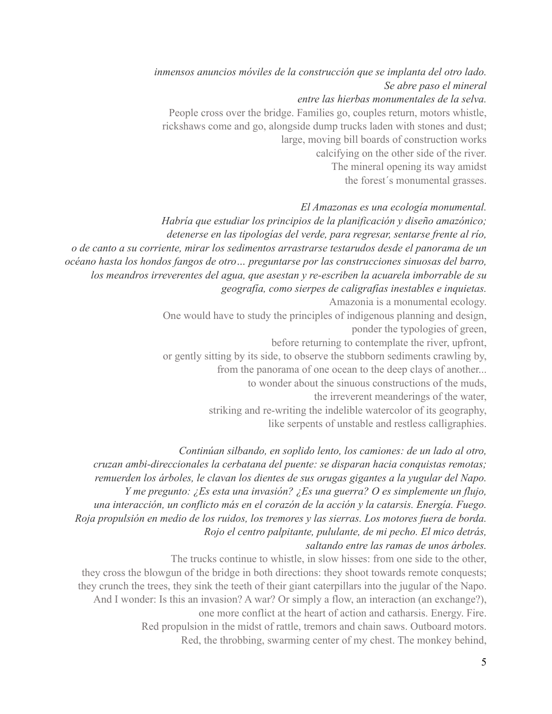*inmensos anuncios móviles de la construcción que se implanta del otro lado. Se abre paso el mineral entre las hierbas monumentales de la selva.* People cross over the bridge. Families go, couples return, motors whistle, rickshaws come and go, alongside dump trucks laden with stones and dust; large, moving bill boards of construction works calcifying on the other side of the river. The mineral opening its way amidst the forest´s monumental grasses.

# *El Amazonas es una ecología monumental.*

*Habría que estudiar los principios de la planificación y diseño amazónico; detenerse en las tipologías del verde, para regresar, sentarse frente al río, o de canto a su corriente, mirar los sedimentos arrastrarse testarudos desde el panorama de un océano hasta los hondos fangos de otro… preguntarse por las construcciones sinuosas del barro, los meandros irreverentes del agua, que asestan y re-escriben la acuarela imborrable de su geografía, como sierpes de caligrafías inestables e inquietas.*  Amazonia is a monumental ecology. One would have to study the principles of indigenous planning and design, ponder the typologies of green, before returning to contemplate the river, upfront, or gently sitting by its side, to observe the stubborn sediments crawling by, from the panorama of one ocean to the deep clays of another... to wonder about the sinuous constructions of the muds, the irreverent meanderings of the water, striking and re-writing the indelible watercolor of its geography, like serpents of unstable and restless calligraphies.

*Continúan silbando, en soplido lento, los camiones: de un lado al otro, cruzan ambi-direccionales la cerbatana del puente: se disparan hacia conquistas remotas; remuerden los árboles, le clavan los dientes de sus orugas gigantes a la yugular del Napo. Y me pregunto: ¿Es esta una invasión? ¿Es una guerra? O es simplemente un flujo, una interacción, un conflicto más en el corazón de la acción y la catarsis. Energía. Fuego. Roja propulsión en medio de los ruidos, los tremores y las sierras. Los motores fuera de borda. Rojo el centro palpitante, pululante, de mi pecho. El mico detrás, saltando entre las ramas de unos árboles.* 

The trucks continue to whistle, in slow hisses: from one side to the other, they cross the blowgun of the bridge in both directions: they shoot towards remote conquests; they crunch the trees, they sink the teeth of their giant caterpillars into the jugular of the Napo. And I wonder: Is this an invasion? A war? Or simply a flow, an interaction (an exchange?), one more conflict at the heart of action and catharsis. Energy. Fire. Red propulsion in the midst of rattle, tremors and chain saws. Outboard motors. Red, the throbbing, swarming center of my chest. The monkey behind,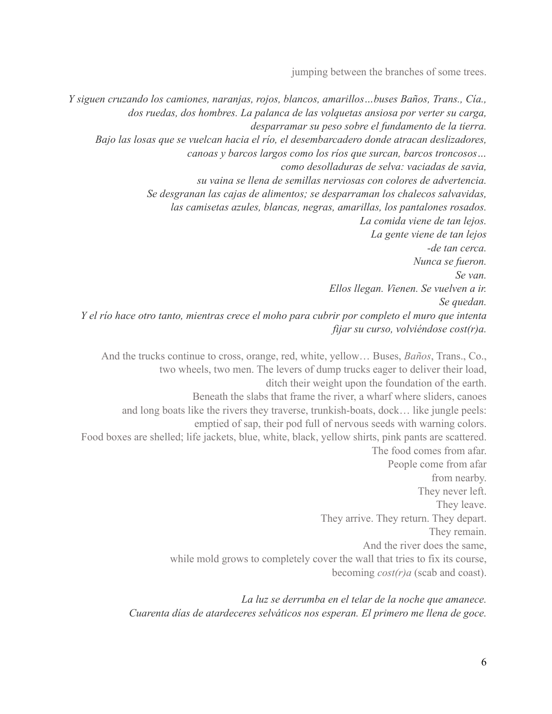jumping between the branches of some trees.

*Y siguen cruzando los camiones, naranjas, rojos, blancos, amarillos…buses Baños, Trans., Cía., dos ruedas, dos hombres. La palanca de las volquetas ansiosa por verter su carga, desparramar su peso sobre el fundamento de la tierra. Bajo las losas que se vuelcan hacia el río, el desembarcadero donde atracan deslizadores, canoas y barcos largos como los ríos que surcan, barcos troncosos… como desolladuras de selva: vaciadas de savia, su vaina se llena de semillas nerviosas con colores de advertencia. Se desgranan las cajas de alimentos; se desparraman los chalecos salvavidas, las camisetas azules, blancas, negras, amarillas, los pantalones rosados. La comida viene de tan lejos. La gente viene de tan lejos -de tan cerca. Nunca se fueron. Se van. Ellos llegan. Vienen. Se vuelven a ir. Se quedan. Y el río hace otro tanto, mientras crece el moho para cubrir por completo el muro que intenta fijar su curso, volviéndose cost(r)a.* 

And the trucks continue to cross, orange, red, white, yellow… Buses, *Baños*, Trans., Co., two wheels, two men. The levers of dump trucks eager to deliver their load, ditch their weight upon the foundation of the earth. Beneath the slabs that frame the river, a wharf where sliders, canoes and long boats like the rivers they traverse, trunkish-boats, dock… like jungle peels: emptied of sap, their pod full of nervous seeds with warning colors. Food boxes are shelled; life jackets, blue, white, black, yellow shirts, pink pants are scattered. The food comes from afar. People come from afar from nearby. They never left. They leave. They arrive. They return. They depart. They remain. And the river does the same, while mold grows to completely cover the wall that tries to fix its course, becoming *cost(r)a* (scab and coast).

> *La luz se derrumba en el telar de la noche que amanece. Cuarenta días de atardeceres selváticos nos esperan. El primero me llena de goce.*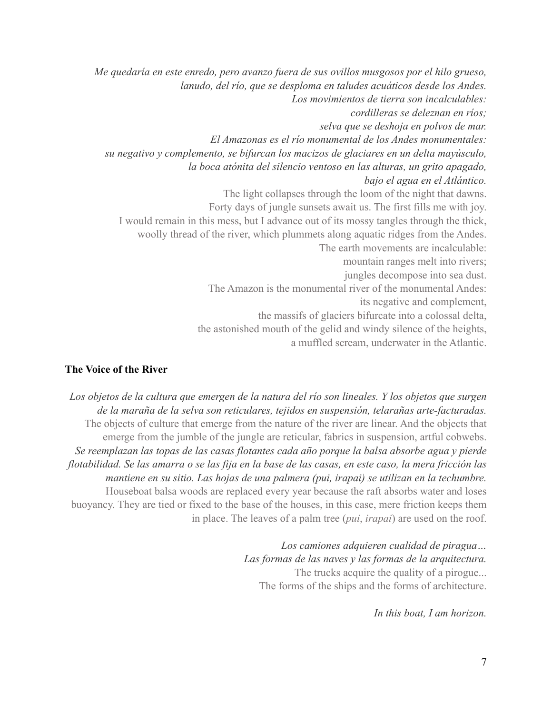*Me quedaría en este enredo, pero avanzo fuera de sus ovillos musgosos por el hilo grueso, lanudo, del río, que se desploma en taludes acuáticos desde los Andes. Los movimientos de tierra son incalculables: cordilleras se deleznan en ríos; selva que se deshoja en polvos de mar. El Amazonas es el río monumental de los Andes monumentales: su negativo y complemento, se bifurcan los macizos de glaciares en un delta mayúsculo, la boca atónita del silencio ventoso en las alturas, un grito apagado, bajo el agua en el Atlántico.*  The light collapses through the loom of the night that dawns. Forty days of jungle sunsets await us. The first fills me with joy. I would remain in this mess, but I advance out of its mossy tangles through the thick, woolly thread of the river, which plummets along aquatic ridges from the Andes. The earth movements are incalculable: mountain ranges melt into rivers; jungles decompose into sea dust. The Amazon is the monumental river of the monumental Andes: its negative and complement, the massifs of glaciers bifurcate into a colossal delta, the astonished mouth of the gelid and windy silence of the heights, a muffled scream, underwater in the Atlantic.

### **The Voice of the River**

*Los objetos de la cultura que emergen de la natura del río son lineales. Y los objetos que surgen de la maraña de la selva son reticulares, tejidos en suspensión, telarañas arte-facturadas.*  The objects of culture that emerge from the nature of the river are linear. And the objects that emerge from the jumble of the jungle are reticular, fabrics in suspension, artful cobwebs. *Se reemplazan las topas de las casas flotantes cada año porque la balsa absorbe agua y pierde flotabilidad. Se las amarra o se las fija en la base de las casas, en este caso, la mera fricción las mantiene en su sitio. Las hojas de una palmera (pui, irapai) se utilizan en la techumbre.* Houseboat balsa woods are replaced every year because the raft absorbs water and loses buoyancy. They are tied or fixed to the base of the houses, in this case, mere friction keeps them in place. The leaves of a palm tree (*pui*, *irapai*) are used on the roof.

> *Los camiones adquieren cualidad de piragua… Las formas de las naves y las formas de la arquitectura.*  The trucks acquire the quality of a pirogue... The forms of the ships and the forms of architecture.

> > *In this boat, I am horizon.*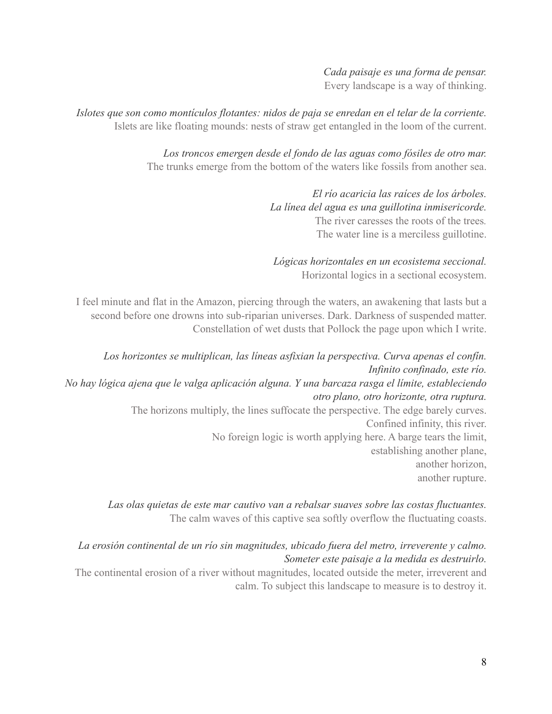*Cada paisaje es una forma de pensar.*  Every landscape is a way of thinking.

*Islotes que son como montículos flotantes: nidos de paja se enredan en el telar de la corriente.*  Islets are like floating mounds: nests of straw get entangled in the loom of the current.

> *Los troncos emergen desde el fondo de las aguas como fósiles de otro mar.*  The trunks emerge from the bottom of the waters like fossils from another sea.

> > *El río acaricia las raíces de los árboles. La línea del agua es una guillotina inmisericorde.*  The river caresses the roots of the trees*.*  The water line is a merciless guillotine.

*Lógicas horizontales en un ecosistema seccional.*  Horizontal logics in a sectional ecosystem.

I feel minute and flat in the Amazon, piercing through the waters, an awakening that lasts but a second before one drowns into sub-riparian universes. Dark. Darkness of suspended matter. Constellation of wet dusts that Pollock the page upon which I write.

*Los horizontes se multiplican, las líneas asfixian la perspectiva. Curva apenas el confín. Infinito confinado, este río. No hay lógica ajena que le valga aplicación alguna. Y una barcaza rasga el límite, estableciendo otro plano, otro horizonte, otra ruptura.* The horizons multiply, the lines suffocate the perspective. The edge barely curves. Confined infinity, this river. No foreign logic is worth applying here. A barge tears the limit, establishing another plane, another horizon, another rupture.

> *Las olas quietas de este mar cautivo van a rebalsar suaves sobre las costas fluctuantes.*  The calm waves of this captive sea softly overflow the fluctuating coasts.

*La erosión continental de un río sin magnitudes, ubicado fuera del metro, irreverente y calmo. Someter este paisaje a la medida es destruirlo.* 

The continental erosion of a river without magnitudes, located outside the meter, irreverent and calm. To subject this landscape to measure is to destroy it.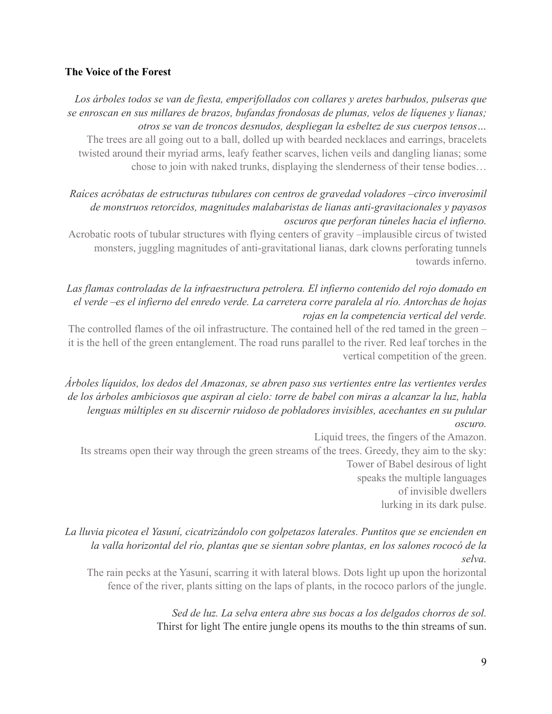### **The Voice of the Forest**

*Los árboles todos se van de fiesta, emperifollados con collares y aretes barbudos, pulseras que se enroscan en sus millares de brazos, bufandas frondosas de plumas, velos de líquenes y lianas; otros se van de troncos desnudos, despliegan la esbeltez de sus cuerpos tensos…*

The trees are all going out to a ball, dolled up with bearded necklaces and earrings, bracelets twisted around their myriad arms, leafy feather scarves, lichen veils and dangling lianas; some chose to join with naked trunks, displaying the slenderness of their tense bodies…

# *Raíces acróbatas de estructuras tubulares con centros de gravedad voladores –circo inverosímil de monstruos retorcidos, magnitudes malabaristas de lianas anti-gravitacionales y payasos oscuros que perforan túneles hacia el infierno.*

Acrobatic roots of tubular structures with flying centers of gravity –implausible circus of twisted monsters, juggling magnitudes of anti-gravitational lianas, dark clowns perforating tunnels towards inferno.

# *Las flamas controladas de la infraestructura petrolera. El infierno contenido del rojo domado en el verde –es el infierno del enredo verde. La carretera corre paralela al río. Antorchas de hojas rojas en la competencia vertical del verde.*

The controlled flames of the oil infrastructure. The contained hell of the red tamed in the green – it is the hell of the green entanglement. The road runs parallel to the river. Red leaf torches in the vertical competition of the green.

*Árboles líquidos, los dedos del Amazonas, se abren paso sus vertientes entre las vertientes verdes de los árboles ambiciosos que aspiran al cielo: torre de babel con miras a alcanzar la luz, habla lenguas múltiples en su discernir ruidoso de pobladores invisibles, acechantes en su pulular oscuro.* 

Liquid trees, the fingers of the Amazon.

Its streams open their way through the green streams of the trees. Greedy, they aim to the sky: Tower of Babel desirous of light speaks the multiple languages

of invisible dwellers lurking in its dark pulse.

# *La lluvia picotea el Yasuní, cicatrizándolo con golpetazos laterales. Puntitos que se encienden en la valla horizontal del río, plantas que se sientan sobre plantas, en los salones rococó de la selva.*

The rain pecks at the Yasuní, scarring it with lateral blows. Dots light up upon the horizontal fence of the river, plants sitting on the laps of plants, in the rococo parlors of the jungle.

> *Sed de luz. La selva entera abre sus bocas a los delgados chorros de sol.* Thirst for light The entire jungle opens its mouths to the thin streams of sun.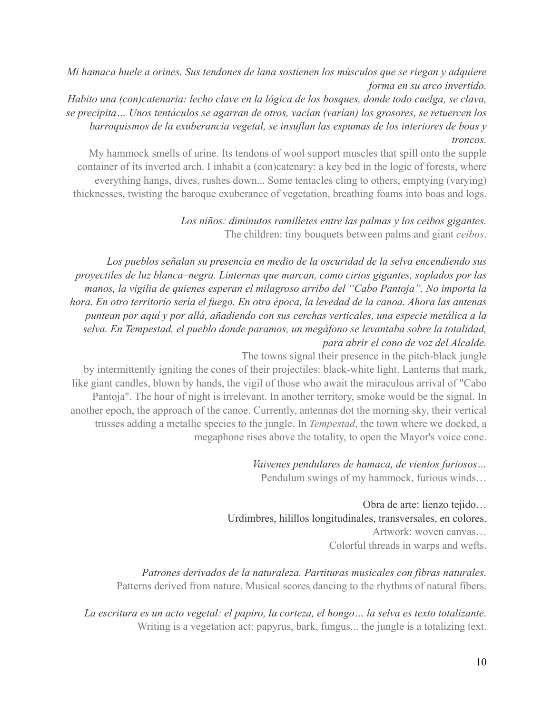*Mi hamaca huele a orines. Sus tendones de lana sostienen los músculos que se riegan y adquiere forma en su arco invertido.* 

*Habito una (con)catenaria: lecho clave en la lógica de los bosques, donde todo cuelga, se clava, se precipita… Unos tentáculos se agarran de otros, vacían (varían) los grosores, se retuercen los barroquismos de la exuberancia vegetal, se insuflan las espumas de los interiores de boas y troncos.*

My hammock smells of urine. Its tendons of wool support muscles that spill onto the supple container of its inverted arch. I inhabit a (con)catenary: a key bed in the logic of forests, where everything hangs, dives, rushes down... Some tentacles cling to others, emptying (varying) thicknesses, twisting the baroque exuberance of vegetation, breathing foams into boas and logs.

> *Los niños: diminutos ramilletes entre las palmas y los ceibos gigantes.*  The children: tiny bouquets between palms and giant *ceibos*.

*Los pueblos señalan su presencia en medio de la oscuridad de la selva encendiendo sus proyectiles de luz blanca–negra. Linternas que marcan, como cirios gigantes, soplados por las manos, la vigilia de quienes esperan el milagroso arribo del "Cabo Pantoja". No importa la hora. En otro territorio sería el fuego. En otra época, la levedad de la canoa. Ahora las antenas puntean por aquí y por allá, añadiendo con sus cerchas verticales, una especie metálica a la selva. En Tempestad, el pueblo donde paramos, un megáfono se levantaba sobre la totalidad, para abrir el cono de voz del Alcalde.* 

The towns signal their presence in the pitch-black jungle

by intermittently igniting the cones of their projectiles: black-white light. Lanterns that mark, like giant candles, blown by hands, the vigil of those who await the miraculous arrival of "Cabo Pantoja". The hour of night is irrelevant. In another territory, smoke would be the signal. In another epoch, the approach of the canoe. Currently, antennas dot the morning sky, their vertical trusses adding a metallic species to the jungle. In *Tempestad*, the town where we docked, a megaphone rises above the totality, to open the Mayor's voice cone.

> *Vaivenes pendulares de hamaca, de vientos furiosos…* Pendulum swings of my hammock, furious winds…

Obra de arte: lienzo tejido… Urdimbres, hilillos longitudinales, transversales, en colores. Artwork: woven canvas… Colorful threads in warps and wefts.

*Patrones derivados de la naturaleza. Partituras musicales con fibras naturales.* Patterns derived from nature. Musical scores dancing to the rhythms of natural fibers.

*La escritura es un acto vegetal: el papiro, la corteza, el hongo… la selva es texto totalizante.*  Writing is a vegetation act: papyrus, bark, fungus... the jungle is a totalizing text.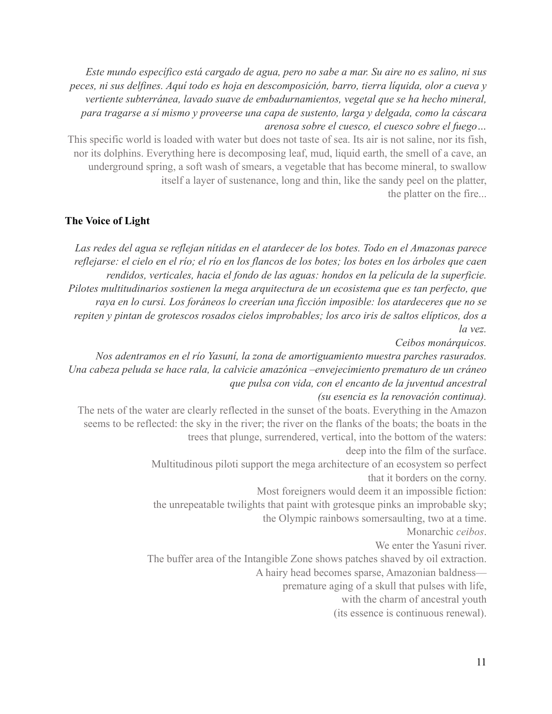*Este mundo específico está cargado de agua, pero no sabe a mar. Su aire no es salino, ni sus peces, ni sus delfines. Aquí todo es hoja en descomposición, barro, tierra líquida, olor a cueva y vertiente subterránea, lavado suave de embadurnamientos, vegetal que se ha hecho mineral, para tragarse a sí mismo y proveerse una capa de sustento, larga y delgada, como la cáscara arenosa sobre el cuesco, el cuesco sobre el fuego…*

This specific world is loaded with water but does not taste of sea. Its air is not saline, nor its fish, nor its dolphins. Everything here is decomposing leaf, mud, liquid earth, the smell of a cave, an underground spring, a soft wash of smears, a vegetable that has become mineral, to swallow itself a layer of sustenance, long and thin, like the sandy peel on the platter, the platter on the fire...

#### **The Voice of Light**

*Las redes del agua se reflejan nítidas en el atardecer de los botes. Todo en el Amazonas parece reflejarse: el cielo en el río; el río en los flancos de los botes; los botes en los árboles que caen rendidos, verticales, hacia el fondo de las aguas: hondos en la película de la superficie. Pilotes multitudinarios sostienen la mega arquitectura de un ecosistema que es tan perfecto, que raya en lo cursi. Los foráneos lo creerían una ficción imposible: los atardeceres que no se repiten y pintan de grotescos rosados cielos improbables; los arco iris de saltos elípticos, dos a la vez.* 

*Ceibos monárquicos.* 

*Nos adentramos en el río Yasuní, la zona de amortiguamiento muestra parches rasurados. Una cabeza peluda se hace rala, la calvicie amazónica –envejecimiento prematuro de un cráneo que pulsa con vida, con el encanto de la juventud ancestral (su esencia es la renovación continua).*

The nets of the water are clearly reflected in the sunset of the boats. Everything in the Amazon seems to be reflected: the sky in the river; the river on the flanks of the boats; the boats in the trees that plunge, surrendered, vertical, into the bottom of the waters:

deep into the film of the surface.

Multitudinous piloti support the mega architecture of an ecosystem so perfect that it borders on the corny.

Most foreigners would deem it an impossible fiction:

the unrepeatable twilights that paint with grotesque pinks an improbable sky;

the Olympic rainbows somersaulting, two at a time.

Monarchic *ceibos*.

We enter the Yasuni river.

The buffer area of the Intangible Zone shows patches shaved by oil extraction.

A hairy head becomes sparse, Amazonian baldness—

premature aging of a skull that pulses with life,

with the charm of ancestral youth

(its essence is continuous renewal).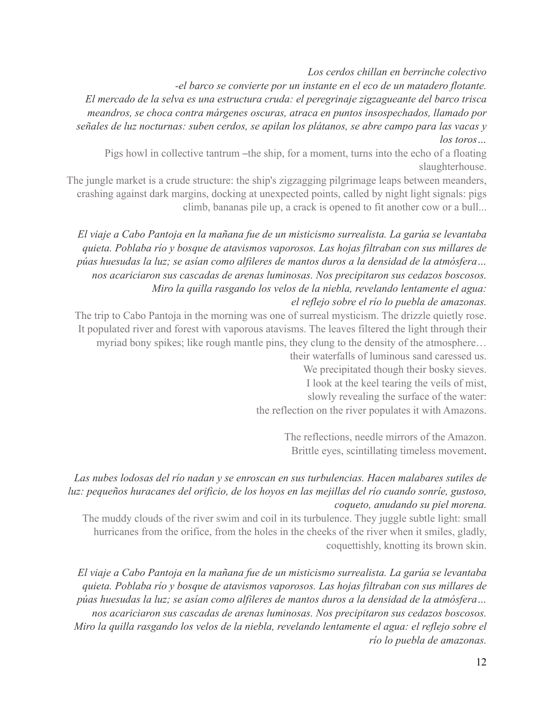*Los cerdos chillan en berrinche colectivo* 

*-el barco se convierte por un instante en el eco de un matadero flotante.* 

*El mercado de la selva es una estructura cruda: el peregrinaje zigzagueante del barco trisca meandros, se choca contra márgenes oscuras, atraca en puntos insospechados, llamado por señales de luz nocturnas: suben cerdos, se apilan los plátanos, se abre campo para las vacas y los toros…*

Pigs howl in collective tantrum –the ship, for a moment, turns into the echo of a floating slaughterhouse.

The jungle market is a crude structure: the ship's zigzagging pilgrimage leaps between meanders, crashing against dark margins, docking at unexpected points, called by night light signals: pigs climb, bananas pile up, a crack is opened to fit another cow or a bull...

*El viaje a Cabo Pantoja en la mañana fue de un misticismo surrealista. La garúa se levantaba quieta. Poblaba río y bosque de atavismos vaporosos. Las hojas filtraban con sus millares de púas huesudas la luz; se asían como alfileres de mantos duros a la densidad de la atmósfera… nos acariciaron sus cascadas de arenas luminosas. Nos precipitaron sus cedazos boscosos. Miro la quilla rasgando los velos de la niebla, revelando lentamente el agua: el reflejo sobre el río lo puebla de amazonas.* 

The trip to Cabo Pantoja in the morning was one of surreal mysticism. The drizzle quietly rose. It populated river and forest with vaporous atavisms. The leaves filtered the light through their myriad bony spikes; like rough mantle pins, they clung to the density of the atmosphere…

their waterfalls of luminous sand caressed us. We precipitated though their bosky sieves. I look at the keel tearing the veils of mist, slowly revealing the surface of the water:

the reflection on the river populates it with Amazons.

The reflections, needle mirrors of the Amazon. Brittle eyes, scintillating timeless movement.

# *Las nubes lodosas del río nadan y se enroscan en sus turbulencias. Hacen malabares sutiles de luz: pequeños huracanes del orificio, de los hoyos en las mejillas del río cuando sonríe, gustoso, coqueto, anudando su piel morena.*

The muddy clouds of the river swim and coil in its turbulence. They juggle subtle light: small hurricanes from the orifice, from the holes in the cheeks of the river when it smiles, gladly, coquettishly, knotting its brown skin.

*El viaje a Cabo Pantoja en la mañana fue de un misticismo surrealista. La garúa se levantaba quieta. Poblaba río y bosque de atavismos vaporosos. Las hojas filtraban con sus millares de púas huesudas la luz; se asían como alfileres de mantos duros a la densidad de la atmósfera… nos acariciaron sus cascadas de arenas luminosas. Nos precipitaron sus cedazos boscosos. Miro la quilla rasgando los velos de la niebla, revelando lentamente el agua: el reflejo sobre el río lo puebla de amazonas.*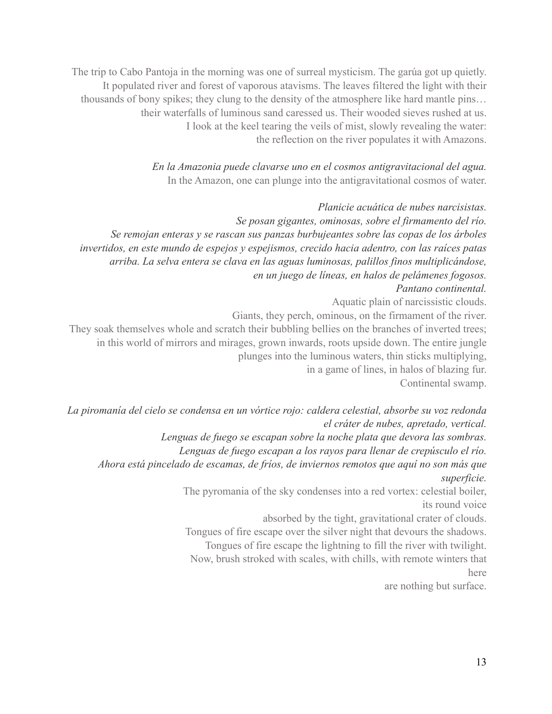The trip to Cabo Pantoja in the morning was one of surreal mysticism. The garúa got up quietly. It populated river and forest of vaporous atavisms. The leaves filtered the light with their thousands of bony spikes; they clung to the density of the atmosphere like hard mantle pins… their waterfalls of luminous sand caressed us. Their wooded sieves rushed at us. I look at the keel tearing the veils of mist, slowly revealing the water: the reflection on the river populates it with Amazons.

> *En la Amazonia puede clavarse uno en el cosmos antigravitacional del agua.*  In the Amazon, one can plunge into the antigravitational cosmos of water.

*Planicie acuática de nubes narcisistas. Se posan gigantes, ominosas, sobre el firmamento del río. Se remojan enteras y se rascan sus panzas burbujeantes sobre las copas de los árboles invertidos, en este mundo de espejos y espejismos, crecido hacia adentro, con las raíces patas arriba. La selva entera se clava en las aguas luminosas, palillos finos multiplicándose, en un juego de líneas, en halos de pelámenes fogosos. Pantano continental.*  Aquatic plain of narcissistic clouds. Giants, they perch, ominous, on the firmament of the river. They soak themselves whole and scratch their bubbling bellies on the branches of inverted trees; in this world of mirrors and mirages, grown inwards, roots upside down. The entire jungle plunges into the luminous waters, thin sticks multiplying, in a game of lines, in halos of blazing fur.

Continental swamp.

*La piromanía del cielo se condensa en un vórtice rojo: caldera celestial, absorbe su voz redonda el cráter de nubes, apretado, vertical.* 

*Lenguas de fuego se escapan sobre la noche plata que devora las sombras. Lenguas de fuego escapan a los rayos para llenar de crepúsculo el río. Ahora está pincelado de escamas, de fríos, de inviernos remotos que aquí no son más que superficie.* 

> The pyromania of the sky condenses into a red vortex: celestial boiler, its round voice

> > absorbed by the tight, gravitational crater of clouds.

Tongues of fire escape over the silver night that devours the shadows. Tongues of fire escape the lightning to fill the river with twilight. Now, brush stroked with scales, with chills, with remote winters that here

are nothing but surface.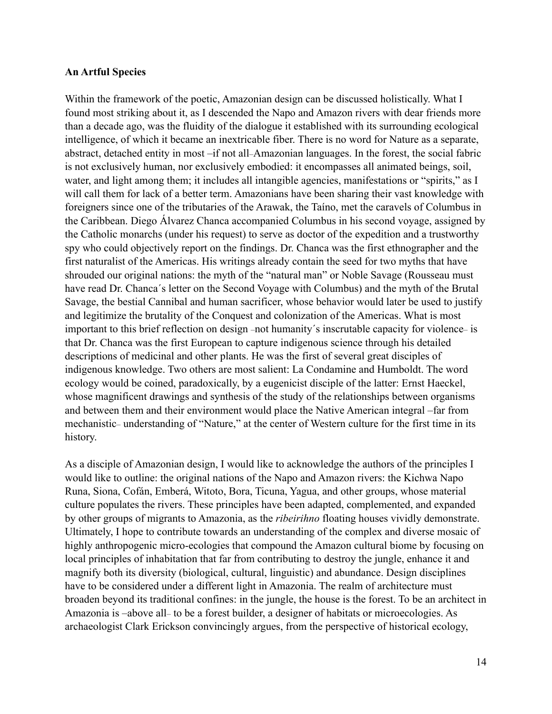#### **An Artful Species**

Within the framework of the poetic, Amazonian design can be discussed holistically. What I found most striking about it, as I descended the Napo and Amazon rivers with dear friends more than a decade ago, was the fluidity of the dialogue it established with its surrounding ecological intelligence, of which it became an inextricable fiber. There is no word for Nature as a separate, abstract, detached entity in most –if not all–Amazonian languages. In the forest, the social fabric is not exclusively human, nor exclusively embodied: it encompasses all animated beings, soil, water, and light among them; it includes all intangible agencies, manifestations or "spirits," as I will call them for lack of a better term. Amazonians have been sharing their vast knowledge with foreigners since one of the tributaries of the Arawak, the Taíno, met the caravels of Columbus in the Caribbean. Diego Álvarez Chanca accompanied Columbus in his second voyage, assigned by the Catholic monarchs (under his request) to serve as doctor of the expedition and a trustworthy spy who could objectively report on the findings. Dr. Chanca was the first ethnographer and the first naturalist of the Americas. His writings already contain the seed for two myths that have shrouded our original nations: the myth of the "natural man" or Noble Savage (Rousseau must have read Dr. Chanca´s letter on the Second Voyage with Columbus) and the myth of the Brutal Savage, the bestial Cannibal and human sacrificer, whose behavior would later be used to justify and legitimize the brutality of the Conquest and colonization of the Americas. What is most important to this brief reflection on design –not humanity´s inscrutable capacity for violence– is that Dr. Chanca was the first European to capture indigenous science through his detailed descriptions of medicinal and other plants. He was the first of several great disciples of indigenous knowledge. Two others are most salient: La Condamine and Humboldt. The word ecology would be coined, paradoxically, by a eugenicist disciple of the latter: Ernst Haeckel, whose magnificent drawings and synthesis of the study of the relationships between organisms and between them and their environment would place the Native American integral –far from mechanistic– understanding of "Nature," at the center of Western culture for the first time in its history.

As a disciple of Amazonian design, I would like to acknowledge the authors of the principles I would like to outline: the original nations of the Napo and Amazon rivers: the Kichwa Napo Runa, Siona, Cofán, Emberá, Witoto, Bora, Ticuna, Yagua, and other groups, whose material culture populates the rivers. These principles have been adapted, complemented, and expanded by other groups of migrants to Amazonia, as the *ribeirihno* floating houses vividly demonstrate. Ultimately, I hope to contribute towards an understanding of the complex and diverse mosaic of highly anthropogenic micro-ecologies that compound the Amazon cultural biome by focusing on local principles of inhabitation that far from contributing to destroy the jungle, enhance it and magnify both its diversity (biological, cultural, linguistic) and abundance. Design disciplines have to be considered under a different light in Amazonia. The realm of architecture must broaden beyond its traditional confines: in the jungle, the house is the forest. To be an architect in Amazonia is –above all– to be a forest builder, a designer of habitats or microecologies. As archaeologist Clark Erickson convincingly argues, from the perspective of historical ecology,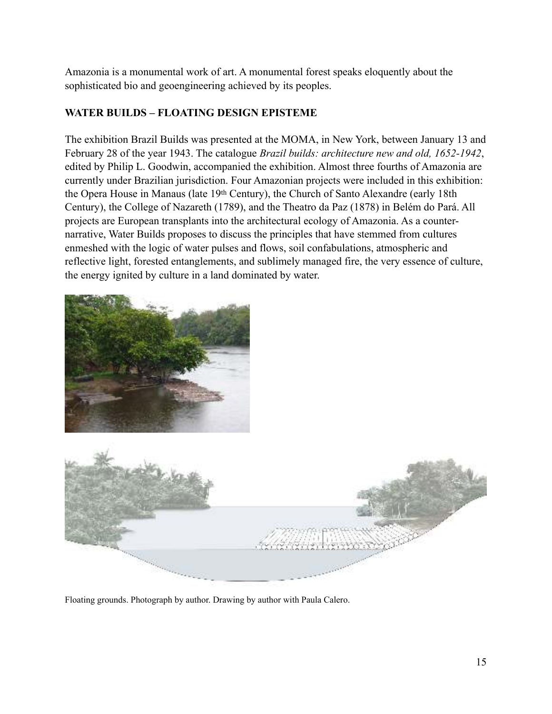Amazonia is a monumental work of art. A monumental forest speaks eloquently about the sophisticated bio and geoengineering achieved by its peoples.

# **WATER BUILDS – FLOATING DESIGN EPISTEME**

The exhibition Brazil Builds was presented at the MOMA, in New York, between January 13 and February 28 of the year 1943. The catalogue *Brazil builds: architecture new and old, 1652-1942*, edited by Philip L. Goodwin, accompanied the exhibition. Almost three fourths of Amazonia are currently under Brazilian jurisdiction. Four Amazonian projects were included in this exhibition: the Opera House in Manaus (late 19th Century), the Church of Santo Alexandre (early 18th Century), the College of Nazareth (1789), and the Theatro da Paz (1878) in Belém do Pará. All projects are European transplants into the architectural ecology of Amazonia. As a counternarrative, Water Builds proposes to discuss the principles that have stemmed from cultures enmeshed with the logic of water pulses and flows, soil confabulations, atmospheric and reflective light, forested entanglements, and sublimely managed fire, the very essence of culture, the energy ignited by culture in a land dominated by water.





Floating grounds. Photograph by author. Drawing by author with Paula Calero.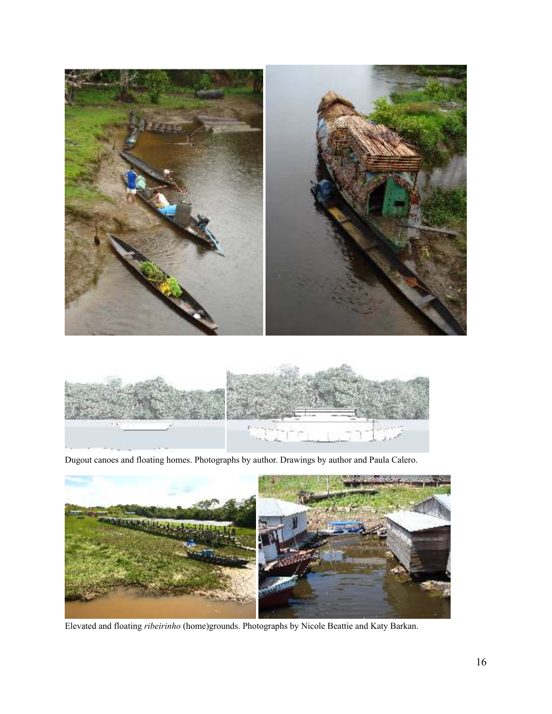



Dugout canoes and floating homes. Photographs by author. Drawings by author and Paula Calero.



Elevated and floating *ribeirinho* (home)grounds. Photographs by Nicole Beattie and Katy Barkan.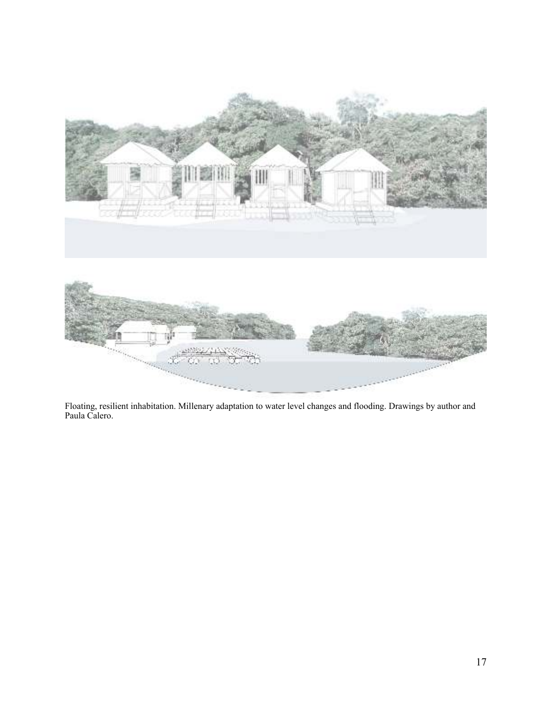

Floating, resilient inhabitation. Millenary adaptation to water level changes and flooding. Drawings by author and Paula Calero.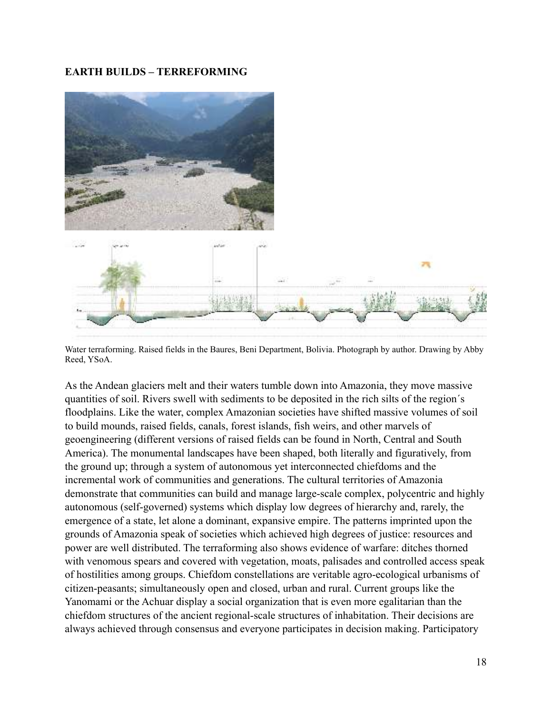# **EARTH BUILDS – TERREFORMING**



Water terraforming. Raised fields in the Baures, Beni Department, Bolivia. Photograph by author. Drawing by Abby Reed, YSoA.

As the Andean glaciers melt and their waters tumble down into Amazonia, they move massive quantities of soil. Rivers swell with sediments to be deposited in the rich silts of the region´s floodplains. Like the water, complex Amazonian societies have shifted massive volumes of soil to build mounds, raised fields, canals, forest islands, fish weirs, and other marvels of geoengineering (different versions of raised fields can be found in North, Central and South America). The monumental landscapes have been shaped, both literally and figuratively, from the ground up; through a system of autonomous yet interconnected chiefdoms and the incremental work of communities and generations. The cultural territories of Amazonia demonstrate that communities can build and manage large-scale complex, polycentric and highly autonomous (self-governed) systems which display low degrees of hierarchy and, rarely, the emergence of a state, let alone a dominant, expansive empire. The patterns imprinted upon the grounds of Amazonia speak of societies which achieved high degrees of justice: resources and power are well distributed. The terraforming also shows evidence of warfare: ditches thorned with venomous spears and covered with vegetation, moats, palisades and controlled access speak of hostilities among groups. Chiefdom constellations are veritable agro-ecological urbanisms of citizen-peasants; simultaneously open and closed, urban and rural. Current groups like the Yanomami or the Achuar display a social organization that is even more egalitarian than the chiefdom structures of the ancient regional-scale structures of inhabitation. Their decisions are always achieved through consensus and everyone participates in decision making. Participatory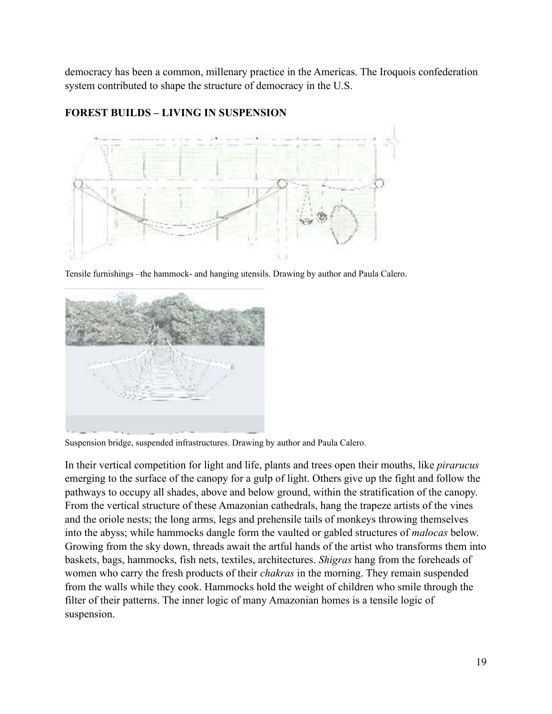democracy has been a common, millenary practice in the Americas. The Iroquois confederation system contributed to shape the structure of democracy in the U.S.

## **FOREST BUILDS – LIVING IN SUSPENSION**



Tensile furnishings –the hammock- and hanging utensils. Drawing by author and Paula Calero.



Suspension bridge, suspended infrastructures. Drawing by author and Paula Calero.

In their vertical competition for light and life, plants and trees open their mouths, like *pirarucus* emerging to the surface of the canopy for a gulp of light. Others give up the fight and follow the pathways to occupy all shades, above and below ground, within the stratification of the canopy. From the vertical structure of these Amazonian cathedrals, hang the trapeze artists of the vines and the oriole nests; the long arms, legs and prehensile tails of monkeys throwing themselves into the abyss; while hammocks dangle form the vaulted or gabled structures of *malocas* below. Growing from the sky down, threads await the artful hands of the artist who transforms them into baskets, bags, hammocks, fish nets, textiles, architectures. *Shigras* hang from the foreheads of women who carry the fresh products of their *chakras* in the morning. They remain suspended from the walls while they cook. Hammocks hold the weight of children who smile through the filter of their patterns. The inner logic of many Amazonian homes is a tensile logic of suspension.